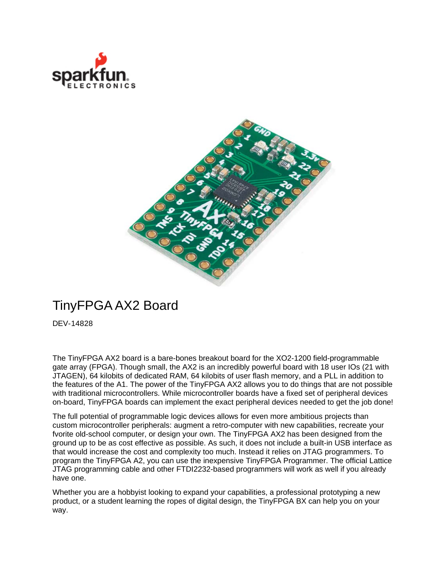



## TinyFPGA AX2 Board

DEV-14828

The TinyFPGA AX2 board is a bare-bones breakout board for the XO2-1200 field-programmable gate array (FPGA). Though small, the AX2 is an incredibly powerful board with 18 user IOs (21 with JTAGEN), 64 kilobits of dedicated RAM, 64 kilobits of user flash memory, and a PLL in addition to the features of the A1. The power of the TinyFPGA AX2 allows you to do things that are not possible with traditional microcontrollers. While microcontroller boards have a fixed set of peripheral devices on-board, TinyFPGA boards can implement the exact peripheral devices needed to get the job done!

The full potential of programmable logic devices allows for even more ambitious projects than custom microcontroller peripherals: augment a retro-computer with new capabilities, recreate your fvorite old-school computer, or design your own. The TinyFPGA AX2 has been designed from the ground up to be as cost effective as possible. As such, it does not include a built-in USB interface as that would increase the cost and complexity too much. Instead it relies on JTAG programmers. To program the TinyFPGA A2, you can use the inexpensive TinyFPGA Programmer. The official Lattice JTAG programming cable and other FTDI2232-based programmers will work as well if you already have one.

Whether you are a hobbyist looking to expand your capabilities, a professional prototyping a new product, or a student learning the ropes of digital design, the TinyFPGA BX can help you on your way.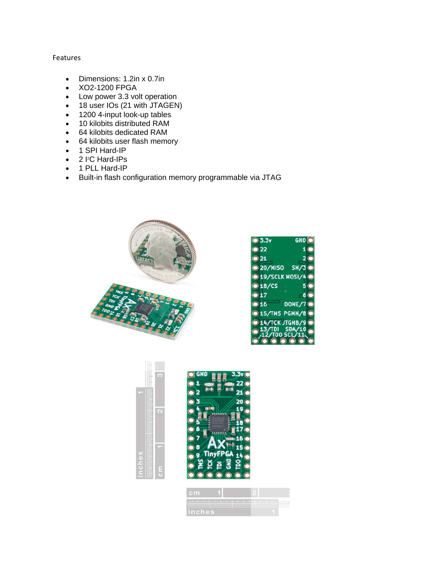## Features

- Dimensions: 1.2in x 0.7in
- XO2-1200 FPGA
- Low power 3.3 volt operation
- 18 user IOs (21 with JTAGEN)
- 1200 4-input look-up tables
- 10 kilobits distributed RAM
- 64 kilobits dedicated RAM
- 64 kilobits user flash memory
- 1 SPI Hard-IP
- $\bullet$  2 I<sup>2</sup>C Hard-IPs
- 1 PLL Hard-IP
- Built-in flash configuration memory programmable via JTAG



| $\bullet$ 3.3 $v$                    | GND O                 |
|--------------------------------------|-----------------------|
| $\bullet$ 22                         | $1$ $\odot$           |
| $\odot$ 21                           | $2$ $\odot$           |
| 20/MISO SN/3                         |                       |
| $\bigcirc$ 19/SCLK MOSI/4 $\bigcirc$ |                       |
| •18/CS.                              | 5 <sup>o</sup>        |
| •17                                  | $-6$ $\odot$          |
| 616                                  | DONE/7 <sup>(a)</sup> |
| <b>@ 15/TMS PGMN/8 @</b>             |                       |
| <b>@ 14/TCK JTGNB/9 @</b>            |                       |
| $\odot$ 13/TDI SDA/10                |                       |
|                                      |                       |





| <b>cm</b> |  |  |
|-----------|--|--|
| inches    |  |  |